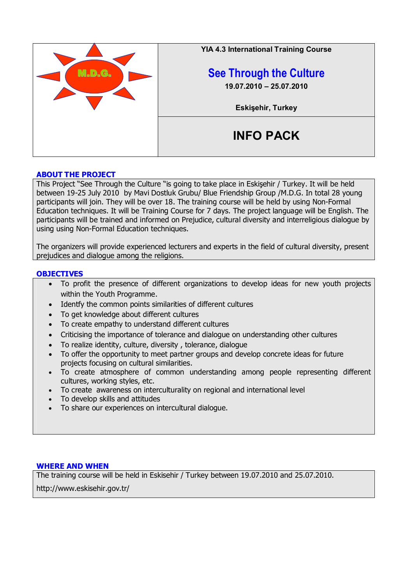

# **ABOUT THE PROJECT**

This Project "See Through the Culture "is going to take place in Eskişehir / Turkey. It will be held between 19-25 July 2010 by Mavi Dostluk Grubu/ Blue Friendship Group /M.D.G. In total 28 young participants will join. They will be over 18. The training course will be held by using Non-Formal Education techniques. It will be Training Course for 7 days. The project language will be English. The participants will be trained and informed on Prejudice, cultural diversity and interreligious dialogue by using using Non-Formal Education techniques.

The organizers will provide experienced lecturers and experts in the field of cultural diversity, present prejudices and dialogue among the religions.

## **OBJECTIVES**

- To profit the presence of different organizations to develop ideas for new youth projects within the Youth Programme.
- Identfy the common points similarities of different cultures
- To get knowledge about different cultures
- To create empathy to understand different cultures
- Criticising the importance of tolerance and dialogue on understanding other cultures
- To realize identity, culture, diversity , tolerance, dialogue
- To offer the opportunity to meet partner groups and develop concrete ideas for future projects focusing on cultural similarities.
- To create atmosphere of common understanding among people representing different cultures, working styles, etc.
- To create awareness on interculturality on regional and international level
- To develop skills and attitudes
- To share our experiences on intercultural dialogue.

## **WHERE AND WHEN**

The training course will be held in Eskisehir / Turkey between 19.07.2010 and 25.07.2010.

http://www.eskisehir.gov.tr/